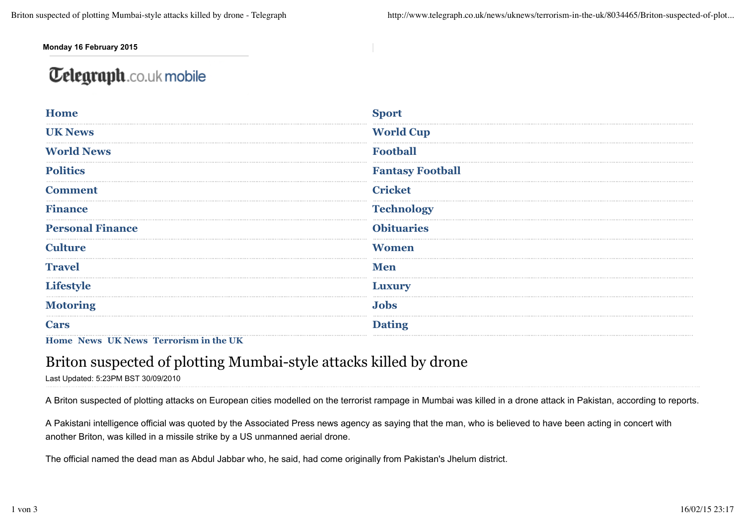**Monday 16 February 2015**

## **Telegraph.co.uk mobile**

| <b>Home</b>             | <b>Sport</b>            |
|-------------------------|-------------------------|
|                         |                         |
| <b>UK News</b>          | <b>World Cup</b>        |
|                         |                         |
| <b>World News</b>       | <b>Football</b>         |
|                         |                         |
| <b>Politics</b>         | <b>Fantasy Football</b> |
|                         |                         |
| <b>Comment</b>          | <b>Cricket</b>          |
|                         |                         |
| <b>Finance</b>          | <b>Technology</b>       |
|                         |                         |
| <b>Personal Finance</b> | <b>Obituaries</b>       |
|                         |                         |
| <b>Culture</b>          | <b>Women</b>            |
|                         |                         |
| <b>Travel</b>           | <b>Men</b>              |
|                         |                         |
| <b>Lifestyle</b>        | <b>Luxury</b>           |
|                         |                         |
| <b>Motoring</b>         | <b>Jobs</b>             |
|                         |                         |
| <b>Cars</b>             | <b>Dating</b>           |

**Home News UK News Terrorism in the UK**

## Briton suspected of plotting Mumbai-style attacks killed by drone

Last Updated: 5:23PM BST 30/09/2010

A Briton suspected of plotting attacks on European cities modelled on the terrorist rampage in Mumbai was killed in a drone attack in Pakistan, according to reports.

A Pakistani intelligence official was quoted by the Associated Press news agency as saying that the man, who is believed to have been acting in concert with another Briton, was killed in a missile strike by a US unmanned aerial drone.

The official named the dead man as Abdul Jabbar who, he said, had come originally from Pakistan's Jhelum district.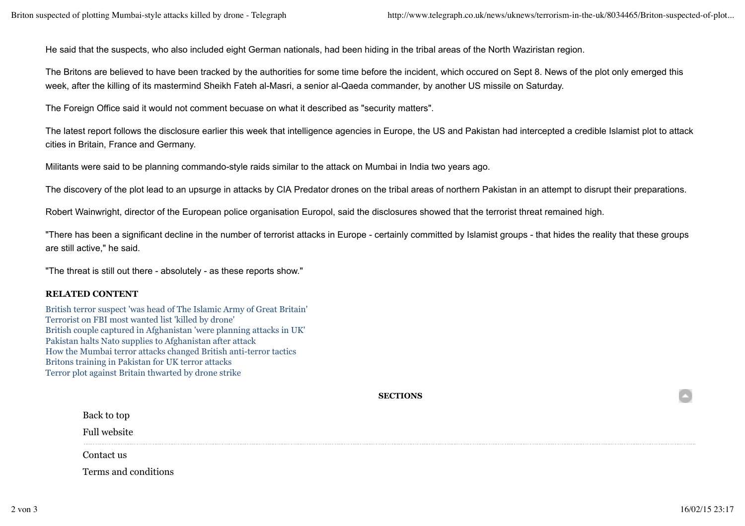He said that the suspects, who also included eight German nationals, had been hiding in the tribal areas of the North Waziristan region.

The Britons are believed to have been tracked by the authorities for some time before the incident, which occured on Sept 8. News of the plot only emerged this week, after the killing of its mastermind Sheikh Fateh al-Masri, a senior al-Qaeda commander, by another US missile on Saturday.

The Foreign Office said it would not comment becuase on what it described as "security matters".

The latest report follows the disclosure earlier this week that intelligence agencies in Europe, the US and Pakistan had intercepted a credible Islamist plot to attack cities in Britain, France and Germany.

Militants were said to be planning commando-style raids similar to the attack on Mumbai in India two years ago.

The discovery of the plot lead to an upsurge in attacks by CIA Predator drones on the tribal areas of northern Pakistan in an attempt to disrupt their preparations.

Robert Wainwright, director of the European police organisation Europol, said the disclosures showed that the terrorist threat remained high.

"There has been a significant decline in the number of terrorist attacks in Europe - certainly committed by Islamist groups - that hides the reality that these groups are still active," he said.

"The threat is still out there - absolutely - as these reports show."

## **RELATED CONTENT**

British terror suspect 'was head of The Islamic Army of Great Britain' Terrorist on FBI most wanted list 'killed by drone' British couple captured in Afghanistan 'were planning attacks in UK' Pakistan halts Nato supplies to Afghanistan after attack How the Mumbai terror attacks changed British anti-terror tactics Britons training in Pakistan for UK terror attacks Terror plot against Britain thwarted by drone strike

**SECTIONS**

Back to top

Full website

Contact us

Terms and conditions

 $\color{red} \bullet$